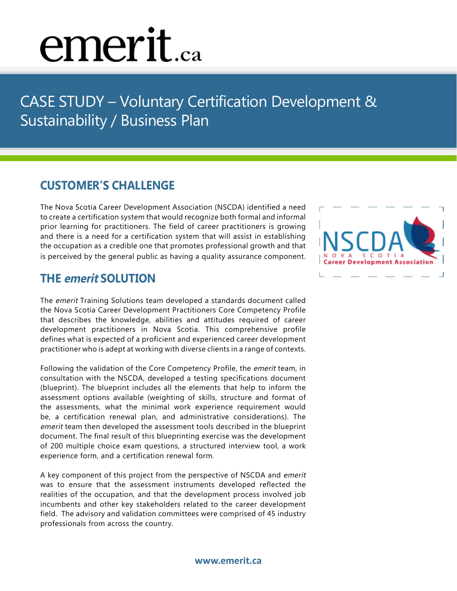# emerit.ca

CASE STUDY - Voluntary Certification Development & Sustainability / Business Plan

### **Customer's Challenge**

The Nova Scotia Career Development Association (NSCDA) identified a need to create a certification system that would recognize both formal and informal prior learning for practitioners. The field of career practitioners is growing and there is a need for a certification system that will assist in establishing the occupation as a credible one that promotes professional growth and that is perceived by the general public as having a quality assurance component.

### **The emerit Solution**

The emerit Training Solutions team developed a standards document called the Nova Scotia Career Development Practitioners Core Competency Profile that describes the knowledge, abilities and attitudes required of career development practitioners in Nova Scotia. This comprehensive profile defines what is expected of a proficient and experienced career development practitioner who is adept at working with diverse clients in a range of contexts.

Following the validation of the Core Competency Profile, the emerit team, in consultation with the NSCDA, developed a testing specifications document (blueprint). The blueprint includes all the elements that help to inform the assessment options available (weighting of skills, structure and format of the assessments, what the minimal work experience requirement would be, a certification renewal plan, and administrative considerations). The emerit team then developed the assessment tools described in the blueprint document. The final result of this blueprinting exercise was the development of 200 multiple choice exam questions, a structured interview tool, a work experience form, and a certification renewal form.

A key component of this project from the perspective of NSCDA and emerit was to ensure that the assessment instruments developed reflected the realities of the occupation, and that the development process involved job incumbents and other key stakeholders related to the career development field. The advisory and validation committees were comprised of 45 industry professionals from across the country.